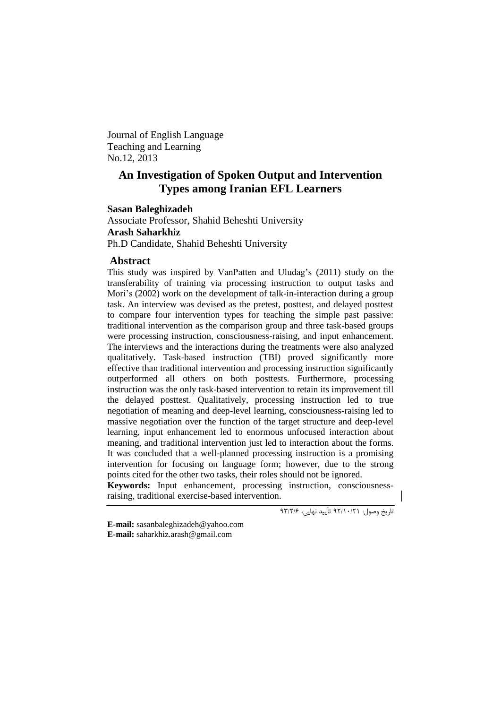Journal of English Language Teaching and Learning No.12, 2013

# **An Investigation of Spoken Output and Intervention Types among Iranian EFL Learners**

# **Sasan Baleghizadeh**

Associate Professor, Shahid Beheshti University **Arash Saharkhiz** Ph.D Candidate, Shahid Beheshti University

# **Abstract**

This study was inspired by VanPatten and Uludag's (2011) study on the transferability of training via processing instruction to output tasks and Mori's (2002) work on the development of talk-in-interaction during a group task. An interview was devised as the pretest, posttest, and delayed posttest to compare four intervention types for teaching the simple past passive: traditional intervention as the comparison group and three task-based groups were processing instruction, consciousness-raising, and input enhancement. The interviews and the interactions during the treatments were also analyzed qualitatively. Task-based instruction (TBI) proved significantly more effective than traditional intervention and processing instruction significantly outperformed all others on both posttests. Furthermore, processing instruction was the only task-based intervention to retain its improvement till the delayed posttest. Qualitatively, processing instruction led to true negotiation of meaning and deep-level learning, consciousness-raising led to massive negotiation over the function of the target structure and deep-level learning, input enhancement led to enormous unfocused interaction about meaning, and traditional intervention just led to interaction about the forms. It was concluded that a well-planned processing instruction is a promising intervention for focusing on language form; however, due to the strong points cited for the other two tasks, their roles should not be ignored.

**Keywords:** Input enhancement, processing instruction, consciousnessraising, traditional exercise-based intervention.

1.<br>تاریخ وصول: ۹۲/۱۰/۲۱ تأیید نهایی، ۹۳/۲/۶

**E-mail:** [sasanbaleghizadeh@yahoo.com](mailto:sasanbaleghizadeh@yahoo.com) **E-mail:** [saharkhiz.arash@gmail.com](mailto:saharkhiz.arash@gmail.com)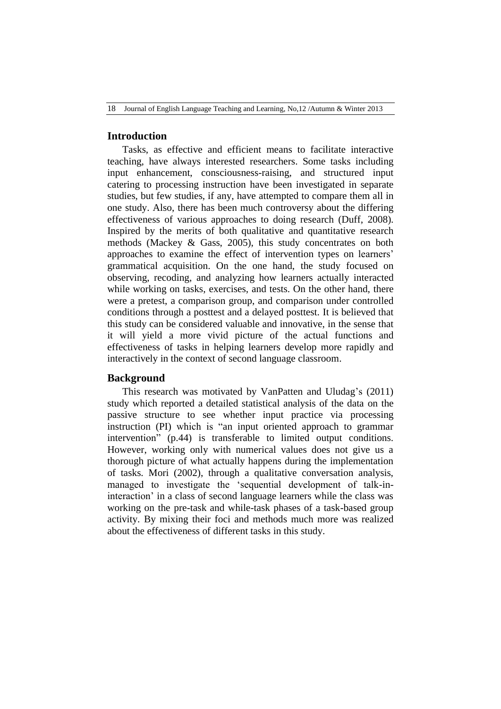18 Journal of English Language Teaching and Learning, No,12 /Autumn & Winter 2013

# **Introduction**

Tasks, as effective and efficient means to facilitate interactive teaching, have always interested researchers. Some tasks including input enhancement, consciousness-raising, and structured input catering to processing instruction have been investigated in separate studies, but few studies, if any, have attempted to compare them all in one study. Also, there has been much controversy about the differing effectiveness of various approaches to doing research (Duff, 2008). Inspired by the merits of both qualitative and quantitative research methods (Mackey & Gass, 2005), this study concentrates on both approaches to examine the effect of intervention types on learners" grammatical acquisition. On the one hand, the study focused on observing, recoding, and analyzing how learners actually interacted while working on tasks, exercises, and tests. On the other hand, there were a pretest, a comparison group, and comparison under controlled conditions through a posttest and a delayed posttest. It is believed that this study can be considered valuable and innovative, in the sense that it will yield a more vivid picture of the actual functions and effectiveness of tasks in helping learners develop more rapidly and interactively in the context of second language classroom.

# **Background**

This research was motivated by VanPatten and Uludag's (2011) study which reported a detailed statistical analysis of the data on the passive structure to see whether input practice via processing instruction (PI) which is "an input oriented approach to grammar intervention" (p.44) is transferable to limited output conditions. However, working only with numerical values does not give us a thorough picture of what actually happens during the implementation of tasks. Mori (2002), through a qualitative conversation analysis, managed to investigate the "sequential development of talk-ininteraction' in a class of second language learners while the class was working on the pre-task and while-task phases of a task-based group activity. By mixing their foci and methods much more was realized about the effectiveness of different tasks in this study.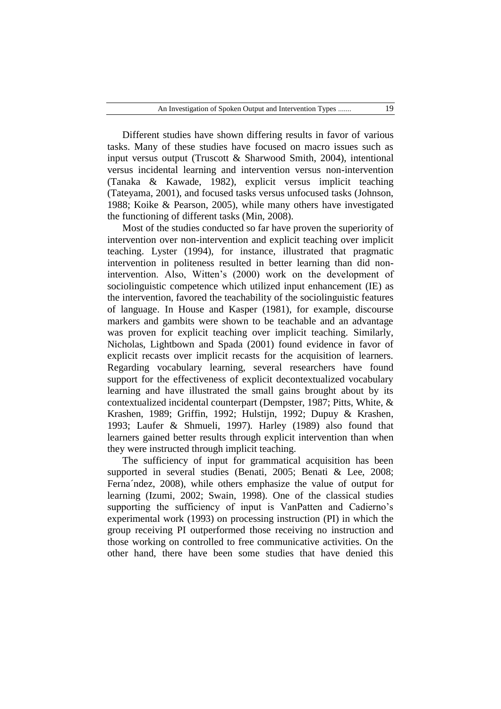Different studies have shown differing results in favor of various tasks. Many of these studies have focused on macro issues such as input versus output (Truscott & Sharwood Smith, 2004), intentional versus incidental learning and intervention versus non-intervention (Tanaka & Kawade, 1982), explicit versus implicit teaching (Tateyama, 2001), and focused tasks versus unfocused tasks (Johnson, 1988; Koike & Pearson, 2005), while many others have investigated the functioning of different tasks (Min, 2008).

Most of the studies conducted so far have proven the superiority of intervention over non-intervention and explicit teaching over implicit teaching. Lyster (1994), for instance, illustrated that pragmatic intervention in politeness resulted in better learning than did nonintervention. Also, Witten"s (2000) work on the development of sociolinguistic competence which utilized input enhancement (IE) as the intervention, favored the teachability of the sociolinguistic features of language. In House and Kasper (1981), for example, discourse markers and gambits were shown to be teachable and an advantage was proven for explicit teaching over implicit teaching. Similarly, Nicholas, Lightbown and Spada (2001) found evidence in favor of explicit recasts over implicit recasts for the acquisition of learners. Regarding vocabulary learning, several researchers have found support for the effectiveness of explicit decontextualized vocabulary learning and have illustrated the small gains brought about by its contextualized incidental counterpart (Dempster, 1987; Pitts, White, & Krashen, 1989; Griffin, 1992; Hulstijn, 1992; Dupuy & Krashen, 1993; Laufer & Shmueli, 1997). Harley (1989) also found that learners gained better results through explicit intervention than when they were instructed through implicit teaching.

The sufficiency of input for grammatical acquisition has been supported in several studies (Benati, 2005; Benati & Lee, 2008; Ferna´ndez, 2008), while others emphasize the value of output for learning (Izumi, 2002; Swain, 1998). One of the classical studies supporting the sufficiency of input is VanPatten and Cadierno's experimental work (1993) on processing instruction (PI) in which the group receiving PI outperformed those receiving no instruction and those working on controlled to free communicative activities. On the other hand, there have been some studies that have denied this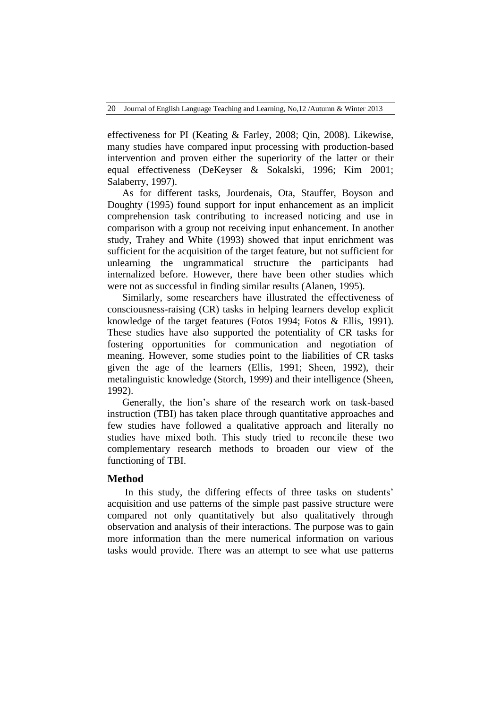effectiveness for PI (Keating & Farley, 2008; Qin, 2008). Likewise, many studies have compared input processing with production-based intervention and proven either the superiority of the latter or their equal effectiveness (DeKeyser & Sokalski, 1996; Kim 2001; Salaberry, 1997).

As for different tasks, Jourdenais, Ota, Stauffer, Boyson and Doughty (1995) found support for input enhancement as an implicit comprehension task contributing to increased noticing and use in comparison with a group not receiving input enhancement. In another study, Trahey and White (1993) showed that input enrichment was sufficient for the acquisition of the target feature, but not sufficient for unlearning the ungrammatical structure the participants had internalized before. However, there have been other studies which were not as successful in finding similar results (Alanen, 1995).

Similarly, some researchers have illustrated the effectiveness of consciousness-raising (CR) tasks in helping learners develop explicit knowledge of the target features (Fotos 1994; Fotos & Ellis, 1991). These studies have also supported the potentiality of CR tasks for fostering opportunities for communication and negotiation of meaning. However, some studies point to the liabilities of CR tasks given the age of the learners (Ellis, 1991; Sheen, 1992), their metalinguistic knowledge (Storch, 1999) and their intelligence (Sheen, 1992).

Generally, the lion"s share of the research work on task-based instruction (TBI) has taken place through quantitative approaches and few studies have followed a qualitative approach and literally no studies have mixed both. This study tried to reconcile these two complementary research methods to broaden our view of the functioning of TBI.

# **Method**

In this study, the differing effects of three tasks on students' acquisition and use patterns of the simple past passive structure were compared not only quantitatively but also qualitatively through observation and analysis of their interactions. The purpose was to gain more information than the mere numerical information on various tasks would provide. There was an attempt to see what use patterns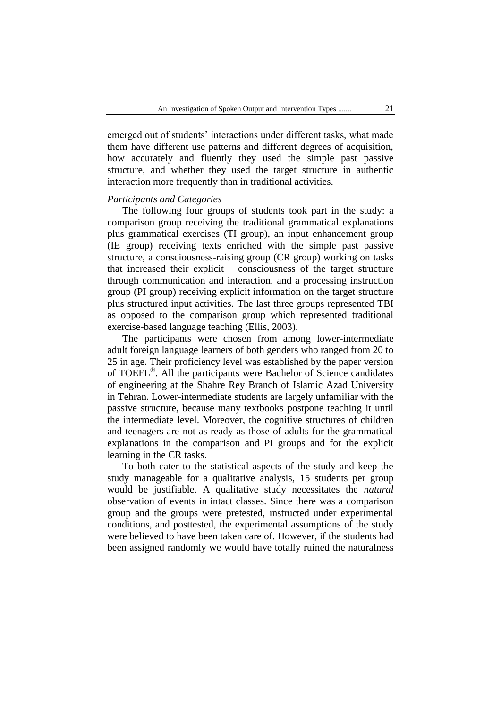emerged out of students' interactions under different tasks, what made them have different use patterns and different degrees of acquisition, how accurately and fluently they used the simple past passive structure, and whether they used the target structure in authentic interaction more frequently than in traditional activities.

# *Participants and Categories*

The following four groups of students took part in the study: a comparison group receiving the traditional grammatical explanations plus grammatical exercises (TI group), an input enhancement group (IE group) receiving texts enriched with the simple past passive structure, a consciousness-raising group (CR group) working on tasks that increased their explicit consciousness of the target structure through communication and interaction, and a processing instruction group (PI group) receiving explicit information on the target structure plus structured input activities. The last three groups represented TBI as opposed to the comparison group which represented traditional exercise-based language teaching (Ellis, 2003).

The participants were chosen from among lower-intermediate adult foreign language learners of both genders who ranged from 20 to 25 in age. Their proficiency level was established by the paper version of TOEFL® . All the participants were Bachelor of Science candidates of engineering at the Shahre Rey Branch of Islamic Azad University in Tehran. Lower-intermediate students are largely unfamiliar with the passive structure, because many textbooks postpone teaching it until the intermediate level. Moreover, the cognitive structures of children and teenagers are not as ready as those of adults for the grammatical explanations in the comparison and PI groups and for the explicit learning in the CR tasks.

To both cater to the statistical aspects of the study and keep the study manageable for a qualitative analysis, 15 students per group would be justifiable. A qualitative study necessitates the *natural* observation of events in intact classes. Since there was a comparison group and the groups were pretested, instructed under experimental conditions, and posttested, the experimental assumptions of the study were believed to have been taken care of. However, if the students had been assigned randomly we would have totally ruined the naturalness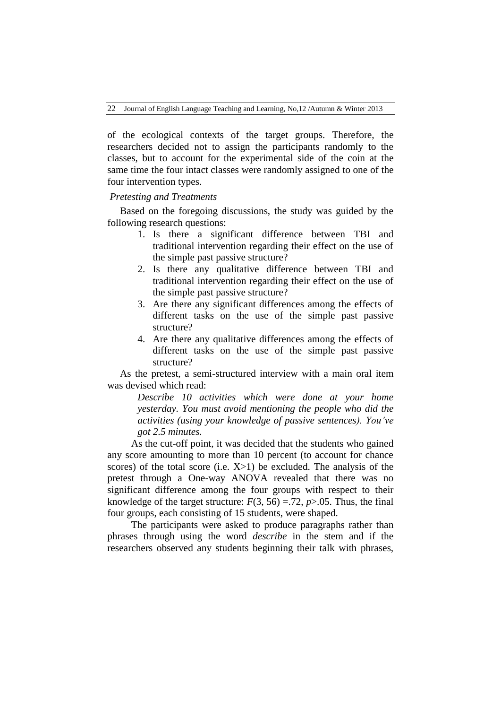of the ecological contexts of the target groups. Therefore, the researchers decided not to assign the participants randomly to the classes, but to account for the experimental side of the coin at the same time the four intact classes were randomly assigned to one of the four intervention types.

#### *Pretesting and Treatments*

 Based on the foregoing discussions, the study was guided by the following research questions:

- 1. Is there a significant difference between TBI and traditional intervention regarding their effect on the use of the simple past passive structure?
- 2. Is there any qualitative difference between TBI and traditional intervention regarding their effect on the use of the simple past passive structure?
- 3. Are there any significant differences among the effects of different tasks on the use of the simple past passive structure?
- 4. Are there any qualitative differences among the effects of different tasks on the use of the simple past passive structure?

 As the pretest, a semi-structured interview with a main oral item was devised which read:

> *Describe 10 activities which were done at your home yesterday. You must avoid mentioning the people who did the activities (using your knowledge of passive sentences). You've got 2.5 minutes.*

As the cut-off point, it was decided that the students who gained any score amounting to more than 10 percent (to account for chance scores) of the total score (i.e.  $X>1$ ) be excluded. The analysis of the pretest through a One-way ANOVA revealed that there was no significant difference among the four groups with respect to their knowledge of the target structure:  $F(3, 56) = .72$ ,  $p > .05$ . Thus, the final four groups, each consisting of 15 students, were shaped.

The participants were asked to produce paragraphs rather than phrases through using the word *describe* in the stem and if the researchers observed any students beginning their talk with phrases,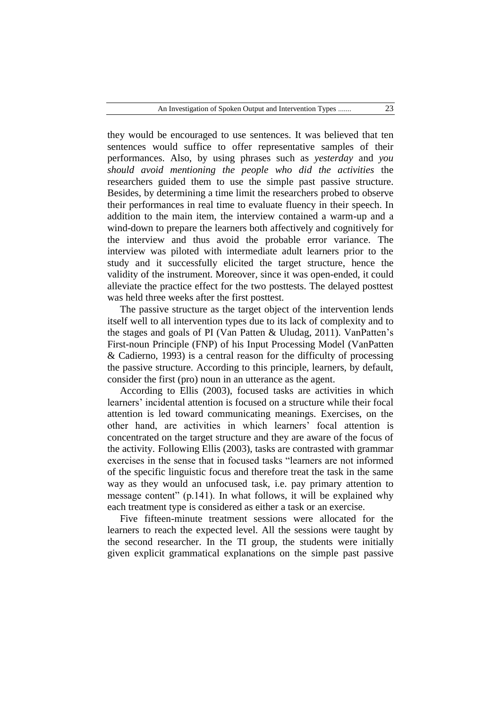they would be encouraged to use sentences. It was believed that ten sentences would suffice to offer representative samples of their performances. Also, by using phrases such as *yesterday* and *you should avoid mentioning the people who did the activities* the researchers guided them to use the simple past passive structure. Besides, by determining a time limit the researchers probed to observe their performances in real time to evaluate fluency in their speech. In addition to the main item, the interview contained a warm-up and a wind-down to prepare the learners both affectively and cognitively for the interview and thus avoid the probable error variance. The interview was piloted with intermediate adult learners prior to the study and it successfully elicited the target structure, hence the validity of the instrument. Moreover, since it was open-ended, it could alleviate the practice effect for the two posttests. The delayed posttest was held three weeks after the first posttest.

 The passive structure as the target object of the intervention lends itself well to all intervention types due to its lack of complexity and to the stages and goals of PI (Van Patten & Uludag, 2011). VanPatten"s First-noun Principle (FNP) of his Input Processing Model (VanPatten & Cadierno, 1993) is a central reason for the difficulty of processing the passive structure. According to this principle, learners, by default, consider the first (pro) noun in an utterance as the agent.

 According to Ellis (2003), focused tasks are activities in which learners' incidental attention is focused on a structure while their focal attention is led toward communicating meanings. Exercises, on the other hand, are activities in which learners" focal attention is concentrated on the target structure and they are aware of the focus of the activity. Following Ellis (2003), tasks are contrasted with grammar exercises in the sense that in focused tasks "learners are not informed of the specific linguistic focus and therefore treat the task in the same way as they would an unfocused task, i.e. pay primary attention to message content" (p.141). In what follows, it will be explained why each treatment type is considered as either a task or an exercise.

 Five fifteen-minute treatment sessions were allocated for the learners to reach the expected level. All the sessions were taught by the second researcher. In the TI group, the students were initially given explicit grammatical explanations on the simple past passive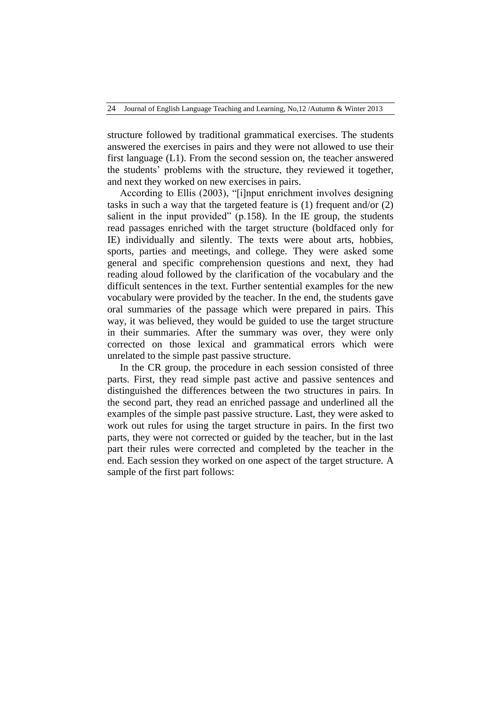structure followed by traditional grammatical exercises. The students answered the exercises in pairs and they were not allowed to use their first language (L1). From the second session on, the teacher answered the students" problems with the structure, they reviewed it together, and next they worked on new exercises in pairs.

 According to Ellis (2003), "[i]nput enrichment involves designing tasks in such a way that the targeted feature is (1) frequent and/or (2) salient in the input provided" (p.158). In the IE group, the students read passages enriched with the target structure (boldfaced only for IE) individually and silently. The texts were about arts, hobbies, sports, parties and meetings, and college. They were asked some general and specific comprehension questions and next, they had reading aloud followed by the clarification of the vocabulary and the difficult sentences in the text. Further sentential examples for the new vocabulary were provided by the teacher. In the end, the students gave oral summaries of the passage which were prepared in pairs. This way, it was believed, they would be guided to use the target structure in their summaries. After the summary was over, they were only corrected on those lexical and grammatical errors which were unrelated to the simple past passive structure.

 In the CR group, the procedure in each session consisted of three parts. First, they read simple past active and passive sentences and distinguished the differences between the two structures in pairs. In the second part, they read an enriched passage and underlined all the examples of the simple past passive structure. Last, they were asked to work out rules for using the target structure in pairs. In the first two parts, they were not corrected or guided by the teacher, but in the last part their rules were corrected and completed by the teacher in the end. Each session they worked on one aspect of the target structure. A sample of the first part follows: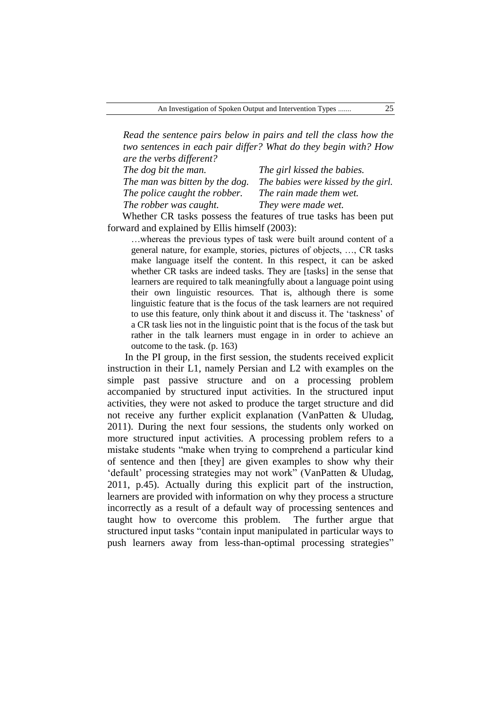*Read the sentence pairs below in pairs and tell the class how the two sentences in each pair differ? What do they begin with? How are the verbs different?*

| The dog bit the man.           | The girl kissed the babies.         |
|--------------------------------|-------------------------------------|
| The man was bitten by the dog. | The babies were kissed by the girl. |
| The police caught the robber.  | The rain made them wet.             |
| The robber was caught.         | They were made wet.                 |

Whether CR tasks possess the features of true tasks has been put forward and explained by Ellis himself (2003):

…whereas the previous types of task were built around content of a general nature, for example, stories, pictures of objects, …, CR tasks make language itself the content. In this respect, it can be asked whether CR tasks are indeed tasks. They are [tasks] in the sense that learners are required to talk meaningfully about a language point using their own linguistic resources. That is, although there is some linguistic feature that is the focus of the task learners are not required to use this feature, only think about it and discuss it. The "taskness" of a CR task lies not in the linguistic point that is the focus of the task but rather in the talk learners must engage in in order to achieve an outcome to the task. (p. 163)

In the PI group, in the first session, the students received explicit instruction in their L1, namely Persian and L2 with examples on the simple past passive structure and on a processing problem accompanied by structured input activities. In the structured input activities, they were not asked to produce the target structure and did not receive any further explicit explanation (VanPatten & Uludag, 2011). During the next four sessions, the students only worked on more structured input activities. A processing problem refers to a mistake students "make when trying to comprehend a particular kind of sentence and then [they] are given examples to show why their 'default' processing strategies may not work" (VanPatten & Uludag, 2011, p.45). Actually during this explicit part of the instruction, learners are provided with information on why they process a structure incorrectly as a result of a default way of processing sentences and taught how to overcome this problem. The further argue that structured input tasks "contain input manipulated in particular ways to push learners away from less-than-optimal processing strategies"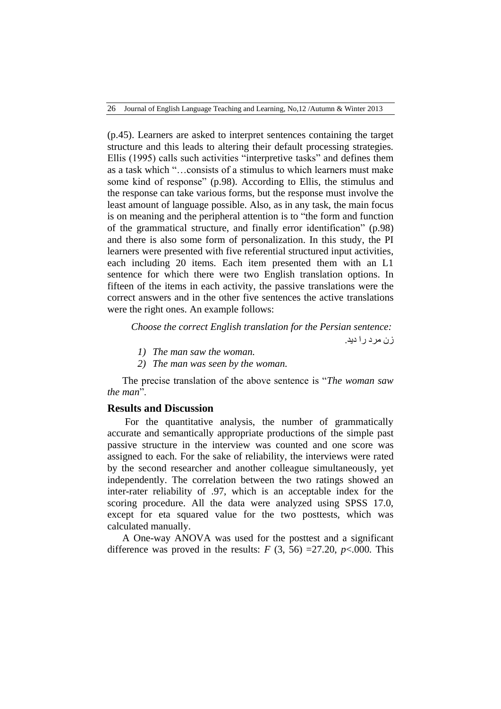26 Journal of English Language Teaching and Learning, No,12 /Autumn & Winter 2013

(p.45). Learners are asked to interpret sentences containing the target structure and this leads to altering their default processing strategies. Ellis (1995) calls such activities "interpretive tasks" and defines them as a task which "…consists of a stimulus to which learners must make some kind of response" (p.98). According to Ellis, the stimulus and the response can take various forms, but the response must involve the least amount of language possible. Also, as in any task, the main focus is on meaning and the peripheral attention is to "the form and function of the grammatical structure, and finally error identification" (p.98) and there is also some form of personalization. In this study, the PI learners were presented with five referential structured input activities, each including 20 items. Each item presented them with an L1 sentence for which there were two English translation options. In fifteen of the items in each activity, the passive translations were the correct answers and in the other five sentences the active translations were the right ones. An example follows:

*Choose the correct English translation for the Persian sentence:*

زن مرد را دید.

- *1) The man saw the woman.*
- *2) The man was seen by the woman.*

The precise translation of the above sentence is "*The woman saw the man*".

# **Results and Discussion**

For the quantitative analysis, the number of grammatically accurate and semantically appropriate productions of the simple past passive structure in the interview was counted and one score was assigned to each. For the sake of reliability, the interviews were rated by the second researcher and another colleague simultaneously, yet independently. The correlation between the two ratings showed an inter-rater reliability of .97, which is an acceptable index for the scoring procedure. All the data were analyzed using SPSS 17.0, except for eta squared value for the two posttests, which was calculated manually.

A One-way ANOVA was used for the posttest and a significant difference was proved in the results:  $F(3, 56) = 27.20$ ,  $p < .000$ . This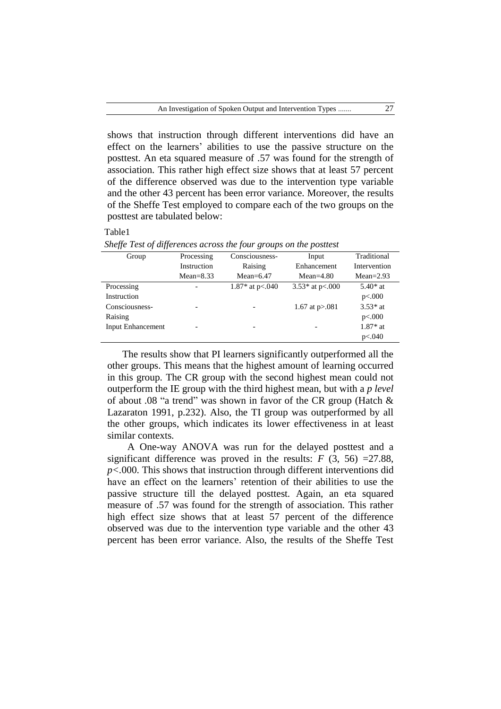shows that instruction through different interventions did have an effect on the learners" abilities to use the passive structure on the posttest. An eta squared measure of .57 was found for the strength of association. This rather high effect size shows that at least 57 percent of the difference observed was due to the intervention type variable and the other 43 percent has been error variance. Moreover, the results of the Sheffe Test employed to compare each of the two groups on the posttest are tabulated below:

| иΓ<br>ν. |
|----------|
|----------|

| Group                    | Processing    | Consciousness-     | Input               | Traditional   |
|--------------------------|---------------|--------------------|---------------------|---------------|
|                          | Instruction   | Raising            | Enhancement         | Intervention  |
|                          | $Mean = 8.33$ | Mean= $6.47$       | $Mean=4.80$         | $Mean = 2.93$ |
| Processing               |               | 1.87* at $p<0.040$ | 3.53* at $p<.000$   | $5.40*$ at    |
| Instruction              |               |                    |                     | p<.000        |
| Consciousness-           |               |                    | 1.67 at $p > 0.081$ | $3.53*$ at    |
| Raising                  |               |                    |                     | p<.000        |
| <b>Input Enhancement</b> |               |                    |                     | $1.87*$ at    |
|                          |               |                    |                     | p<.040        |

*Sheffe Test of differences across the four groups on the posttest*

The results show that PI learners significantly outperformed all the other groups. This means that the highest amount of learning occurred in this group. The CR group with the second highest mean could not outperform the IE group with the third highest mean, but with a *p level* of about .08 "a trend" was shown in favor of the CR group (Hatch & Lazaraton 1991, p.232). Also, the TI group was outperformed by all the other groups, which indicates its lower effectiveness in at least similar contexts.

 A One-way ANOVA was run for the delayed posttest and a significant difference was proved in the results:  $F(3, 56) = 27.88$ , *p<.*000. This shows that instruction through different interventions did have an effect on the learners' retention of their abilities to use the passive structure till the delayed posttest. Again, an eta squared measure of .57 was found for the strength of association. This rather high effect size shows that at least 57 percent of the difference observed was due to the intervention type variable and the other 43 percent has been error variance. Also, the results of the Sheffe Test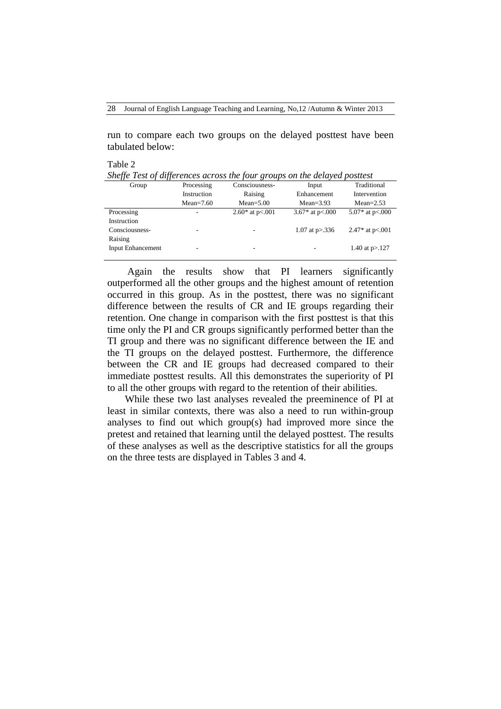28 Journal of English Language Teaching and Learning, No,12 /Autumn & Winter 2013

run to compare each two groups on the delayed posttest have been tabulated below:

Table 2

| Sheffe Test of differences across the four groups on the delayed posttest |  |  |
|---------------------------------------------------------------------------|--|--|
|                                                                           |  |  |

| Group                    | Processing  | Consciousness-           | Input             | Traditional       |
|--------------------------|-------------|--------------------------|-------------------|-------------------|
|                          | Instruction | Raising                  | Enhancement       | Intervention      |
|                          | $Mean=7.60$ | $Mean = 5.00$            | $Mean = 3.93$     | $Mean = 2.53$     |
| Processing               |             | 2.60* at $p<0.01$        | 3.67* at $p<.000$ | 5.07* at $p<.000$ |
| Instruction              |             |                          |                   |                   |
| Consciousness-           | ٠           | $\overline{\phantom{a}}$ | 1.07 at $p > 336$ | 2.47* at $p<.001$ |
| Raising                  |             |                          |                   |                   |
| <b>Input Enhancement</b> | ٠           |                          |                   | 1.40 at $p > 127$ |
|                          |             |                          |                   |                   |

 Again the results show that PI learners significantly outperformed all the other groups and the highest amount of retention occurred in this group. As in the posttest, there was no significant difference between the results of CR and IE groups regarding their retention. One change in comparison with the first posttest is that this time only the PI and CR groups significantly performed better than the TI group and there was no significant difference between the IE and the TI groups on the delayed posttest. Furthermore, the difference between the CR and IE groups had decreased compared to their immediate posttest results. All this demonstrates the superiority of PI to all the other groups with regard to the retention of their abilities.

While these two last analyses revealed the preeminence of PI at least in similar contexts, there was also a need to run within-group analyses to find out which group(s) had improved more since the pretest and retained that learning until the delayed posttest. The results of these analyses as well as the descriptive statistics for all the groups on the three tests are displayed in Tables 3 and 4.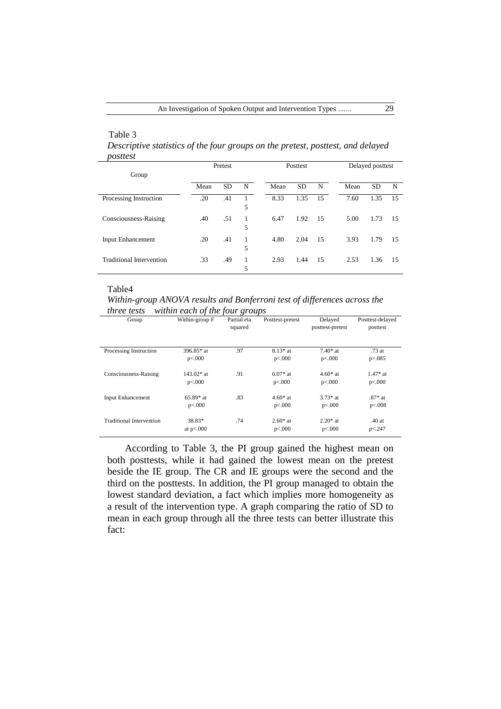# Table 3

*Descriptive statistics of the four groups on the pretest, posttest, and delayed posttest*

|                                 | Pretest |           | Posttest |      |           | Delayed posttest |      |           |    |
|---------------------------------|---------|-----------|----------|------|-----------|------------------|------|-----------|----|
| Group                           |         |           |          |      |           |                  |      |           |    |
|                                 | Mean    | <b>SD</b> | N        | Mean | <b>SD</b> | N                | Mean | <b>SD</b> | N  |
| Processing Instruction          | .20     | .41       | 5        | 8.33 | 1.35      | 15               | 7.60 | 1.35      | 15 |
| Consciousness-Raising           | .40     | .51       | 1<br>5   | 6.47 | 1.92      | 15               | 5.00 | 1.73      | 15 |
| <b>Input Enhancement</b>        | .20     | .41       | 1<br>5   | 4.80 | 2.04      | 15               | 3.93 | 1.79      | 15 |
| <b>Traditional Intervention</b> | .33     | .49       | 1<br>5   | 2.93 | 1.44      | 15               | 2.53 | 1.36      | 15 |

#### Table4

*Within-group ANOVA results and Bonferroni test of differences across the three tests within each of the four groups*

| Group                           | $\boldsymbol{\nu}$<br>Within-group F | $\cdot$<br>$\mathbf\sigma$<br>Partial eta<br>squared | Posttest-pretest     | Delayed<br>posttest-pretest | Posttest-delayed<br>posttest |
|---------------------------------|--------------------------------------|------------------------------------------------------|----------------------|-----------------------------|------------------------------|
| Processing Instruction          | $396.85*$ at<br>p<.000               | .97                                                  | $8.13*$ at<br>p<.000 | $7.40*$ at<br>p<.000        | $.73$ at<br>p > 0.085        |
| Consciousness-Raising           | $143.02*$ at<br>p<.000               | .91                                                  | $6.07*$ at<br>p<.000 | $4.60*$ at<br>p<.000        | $1.47*$ at<br>p<.000         |
| <b>Input Enhancement</b>        | $65.89*$ at<br>p<.000                | .83                                                  | $4.60*$ at<br>p<.000 | $3.73*$ at<br>p<.000        | $.87*$ at<br>p<.008          |
| <b>Traditional Intervention</b> | 38.83*<br>at $p<.000$                | .74                                                  | $2.60*$ at<br>p<.000 | $2.20*$ at<br>p<.000        | .40at<br>p < 247             |

According to Table 3, the PI group gained the highest mean on both posttests, while it had gained the lowest mean on the pretest beside the IE group. The CR and IE groups were the second and the third on the posttests. In addition, the PI group managed to obtain the lowest standard deviation, a fact which implies more homogeneity as a result of the intervention type. A graph comparing the ratio of SD to mean in each group through all the three tests can better illustrate this fact: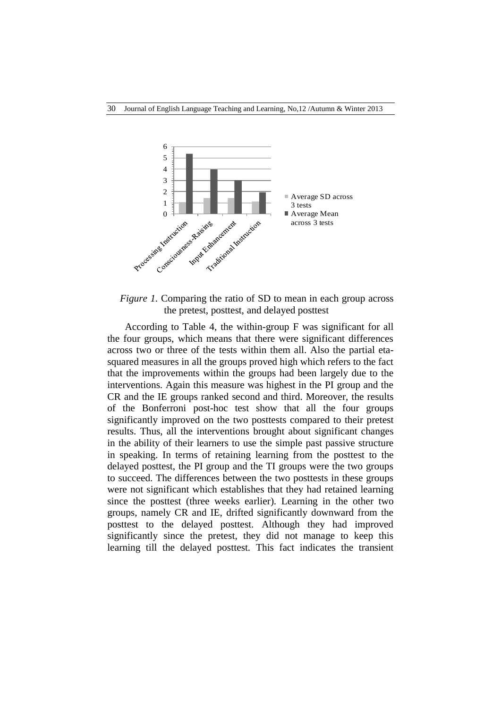

*Figure 1.* Comparing the ratio of SD to mean in each group across the pretest, posttest, and delayed posttest

According to Table 4, the within-group F was significant for all the four groups, which means that there were significant differences across two or three of the tests within them all. Also the partial etasquared measures in all the groups proved high which refers to the fact that the improvements within the groups had been largely due to the interventions. Again this measure was highest in the PI group and the CR and the IE groups ranked second and third. Moreover, the results of the Bonferroni post-hoc test show that all the four groups significantly improved on the two posttests compared to their pretest results. Thus, all the interventions brought about significant changes in the ability of their learners to use the simple past passive structure in speaking. In terms of retaining learning from the posttest to the delayed posttest, the PI group and the TI groups were the two groups to succeed. The differences between the two posttests in these groups were not significant which establishes that they had retained learning since the posttest (three weeks earlier). Learning in the other two groups, namely CR and IE, drifted significantly downward from the posttest to the delayed posttest. Although they had improved significantly since the pretest, they did not manage to keep this learning till the delayed posttest. This fact indicates the transient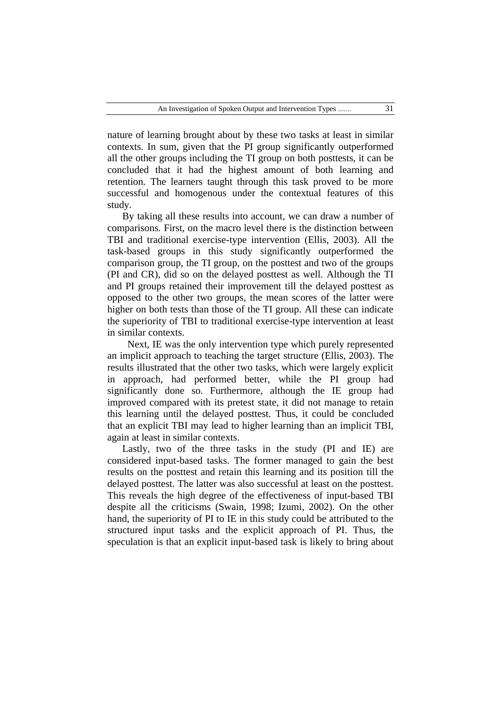nature of learning brought about by these two tasks at least in similar contexts. In sum, given that the PI group significantly outperformed all the other groups including the TI group on both posttests, it can be concluded that it had the highest amount of both learning and retention. The learners taught through this task proved to be more successful and homogenous under the contextual features of this study.

By taking all these results into account, we can draw a number of comparisons. First, on the macro level there is the distinction between TBI and traditional exercise-type intervention (Ellis, 2003). All the task-based groups in this study significantly outperformed the comparison group, the TI group, on the posttest and two of the groups (PI and CR), did so on the delayed posttest as well. Although the TI and PI groups retained their improvement till the delayed posttest as opposed to the other two groups, the mean scores of the latter were higher on both tests than those of the TI group. All these can indicate the superiority of TBI to traditional exercise-type intervention at least in similar contexts.

 Next, IE was the only intervention type which purely represented an implicit approach to teaching the target structure (Ellis, 2003). The results illustrated that the other two tasks, which were largely explicit in approach, had performed better, while the PI group had significantly done so. Furthermore, although the IE group had improved compared with its pretest state, it did not manage to retain this learning until the delayed posttest. Thus, it could be concluded that an explicit TBI may lead to higher learning than an implicit TBI, again at least in similar contexts.

Lastly, two of the three tasks in the study (PI and IE) are considered input-based tasks. The former managed to gain the best results on the posttest and retain this learning and its position till the delayed posttest. The latter was also successful at least on the posttest. This reveals the high degree of the effectiveness of input-based TBI despite all the criticisms (Swain, 1998; Izumi, 2002). On the other hand, the superiority of PI to IE in this study could be attributed to the structured input tasks and the explicit approach of PI. Thus, the speculation is that an explicit input-based task is likely to bring about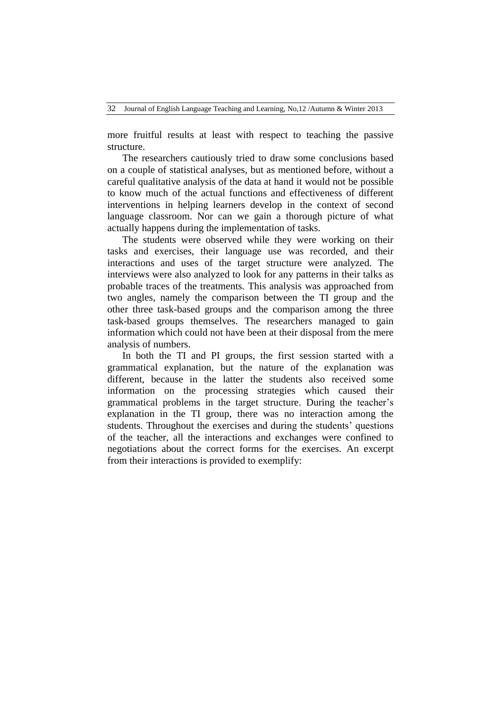32 Journal of English Language Teaching and Learning, No,12 /Autumn & Winter 2013

more fruitful results at least with respect to teaching the passive structure.

The researchers cautiously tried to draw some conclusions based on a couple of statistical analyses, but as mentioned before, without a careful qualitative analysis of the data at hand it would not be possible to know much of the actual functions and effectiveness of different interventions in helping learners develop in the context of second language classroom. Nor can we gain a thorough picture of what actually happens during the implementation of tasks.

The students were observed while they were working on their tasks and exercises, their language use was recorded, and their interactions and uses of the target structure were analyzed. The interviews were also analyzed to look for any patterns in their talks as probable traces of the treatments. This analysis was approached from two angles, namely the comparison between the TI group and the other three task-based groups and the comparison among the three task-based groups themselves. The researchers managed to gain information which could not have been at their disposal from the mere analysis of numbers.

In both the TI and PI groups, the first session started with a grammatical explanation, but the nature of the explanation was different, because in the latter the students also received some information on the processing strategies which caused their grammatical problems in the target structure. During the teacher"s explanation in the TI group, there was no interaction among the students. Throughout the exercises and during the students' questions of the teacher, all the interactions and exchanges were confined to negotiations about the correct forms for the exercises. An excerpt from their interactions is provided to exemplify: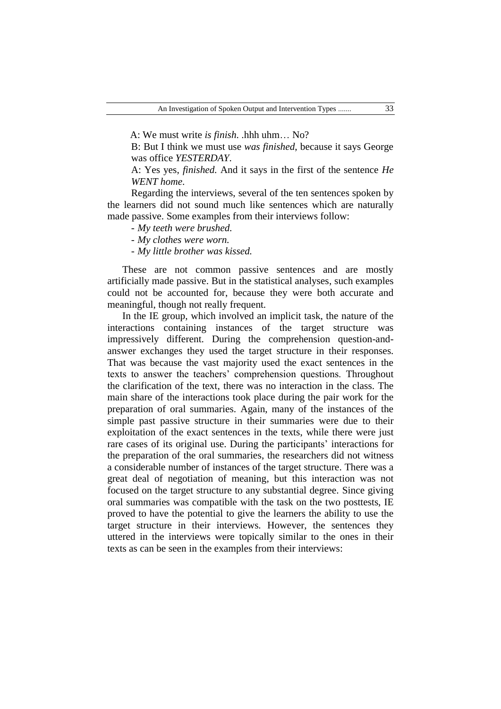A: We must write *is finish*. .hhh uhm… No?

B: But I think we must use *was finished*, because it says George was office *YESTERDAY*.

A: Yes yes, *finished.* And it says in the first of the sentence *He WENT home*.

Regarding the interviews, several of the ten sentences spoken by the learners did not sound much like sentences which are naturally made passive. Some examples from their interviews follow:

- *My teeth were brushed.*

- *My clothes were worn.*

- *My little brother was kissed.*

These are not common passive sentences and are mostly artificially made passive. But in the statistical analyses, such examples could not be accounted for, because they were both accurate and meaningful, though not really frequent.

In the IE group, which involved an implicit task, the nature of the interactions containing instances of the target structure was impressively different. During the comprehension question-andanswer exchanges they used the target structure in their responses. That was because the vast majority used the exact sentences in the texts to answer the teachers" comprehension questions. Throughout the clarification of the text, there was no interaction in the class. The main share of the interactions took place during the pair work for the preparation of oral summaries. Again, many of the instances of the simple past passive structure in their summaries were due to their exploitation of the exact sentences in the texts, while there were just rare cases of its original use. During the participants' interactions for the preparation of the oral summaries, the researchers did not witness a considerable number of instances of the target structure. There was a great deal of negotiation of meaning, but this interaction was not focused on the target structure to any substantial degree. Since giving oral summaries was compatible with the task on the two posttests, IE proved to have the potential to give the learners the ability to use the target structure in their interviews. However, the sentences they uttered in the interviews were topically similar to the ones in their texts as can be seen in the examples from their interviews: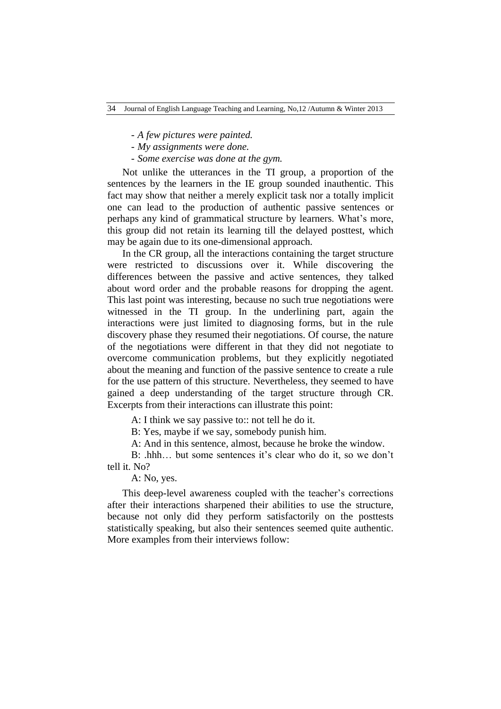- *A few pictures were painted.*
- *My assignments were done.*
- *Some exercise was done at the gym.*

Not unlike the utterances in the TI group, a proportion of the sentences by the learners in the IE group sounded inauthentic. This fact may show that neither a merely explicit task nor a totally implicit one can lead to the production of authentic passive sentences or perhaps any kind of grammatical structure by learners. What"s more, this group did not retain its learning till the delayed posttest, which may be again due to its one-dimensional approach.

In the CR group, all the interactions containing the target structure were restricted to discussions over it. While discovering the differences between the passive and active sentences, they talked about word order and the probable reasons for dropping the agent. This last point was interesting, because no such true negotiations were witnessed in the TI group. In the underlining part, again the interactions were just limited to diagnosing forms, but in the rule discovery phase they resumed their negotiations. Of course, the nature of the negotiations were different in that they did not negotiate to overcome communication problems, but they explicitly negotiated about the meaning and function of the passive sentence to create a rule for the use pattern of this structure. Nevertheless, they seemed to have gained a deep understanding of the target structure through CR. Excerpts from their interactions can illustrate this point:

A: I think we say passive to:: not tell he do it.

B: Yes, maybe if we say, somebody punish him.

A: And in this sentence, almost, because he broke the window.

B: .hhh... but some sentences it's clear who do it, so we don't tell it. No?

A: No, yes.

This deep-level awareness coupled with the teacher"s corrections after their interactions sharpened their abilities to use the structure, because not only did they perform satisfactorily on the posttests statistically speaking, but also their sentences seemed quite authentic. More examples from their interviews follow: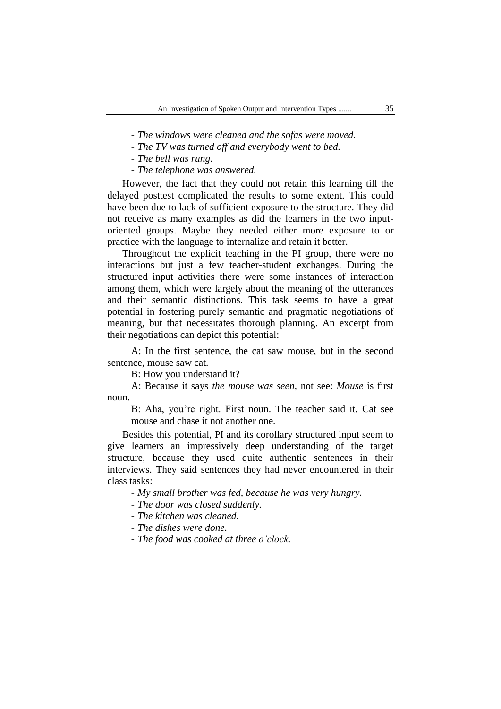- *The windows were cleaned and the sofas were moved.*

- *The TV was turned off and everybody went to bed.*

- *The bell was rung.*

- *The telephone was answered.*

However, the fact that they could not retain this learning till the delayed posttest complicated the results to some extent. This could have been due to lack of sufficient exposure to the structure. They did not receive as many examples as did the learners in the two inputoriented groups. Maybe they needed either more exposure to or practice with the language to internalize and retain it better.

Throughout the explicit teaching in the PI group, there were no interactions but just a few teacher-student exchanges. During the structured input activities there were some instances of interaction among them, which were largely about the meaning of the utterances and their semantic distinctions. This task seems to have a great potential in fostering purely semantic and pragmatic negotiations of meaning, but that necessitates thorough planning. An excerpt from their negotiations can depict this potential:

A: In the first sentence, the cat saw mouse, but in the second sentence, mouse saw cat.

B: How you understand it?

A: Because it says *the mouse was seen*, not see: *Mouse* is first noun.

B: Aha, you"re right. First noun. The teacher said it. Cat see mouse and chase it not another one.

Besides this potential, PI and its corollary structured input seem to give learners an impressively deep understanding of the target structure, because they used quite authentic sentences in their interviews. They said sentences they had never encountered in their class tasks:

- *My small brother was fed, because he was very hungry.*

- *The door was closed suddenly.*

- *The kitchen was cleaned.*

- *The dishes were done.*

- *The food was cooked at three o'clock.*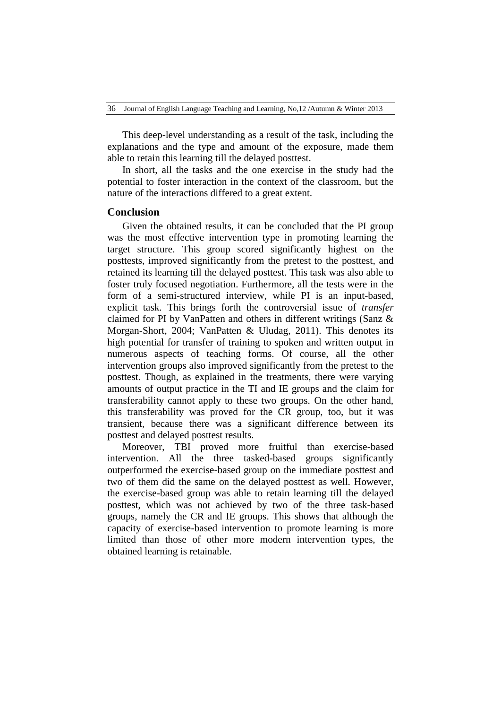This deep-level understanding as a result of the task, including the explanations and the type and amount of the exposure, made them able to retain this learning till the delayed posttest.

In short, all the tasks and the one exercise in the study had the potential to foster interaction in the context of the classroom, but the nature of the interactions differed to a great extent.

# **Conclusion**

Given the obtained results, it can be concluded that the PI group was the most effective intervention type in promoting learning the target structure. This group scored significantly highest on the posttests, improved significantly from the pretest to the posttest, and retained its learning till the delayed posttest. This task was also able to foster truly focused negotiation. Furthermore, all the tests were in the form of a semi-structured interview, while PI is an input-based, explicit task. This brings forth the controversial issue of *transfer* claimed for PI by VanPatten and others in different writings (Sanz & Morgan-Short, 2004; VanPatten & Uludag, 2011). This denotes its high potential for transfer of training to spoken and written output in numerous aspects of teaching forms. Of course, all the other intervention groups also improved significantly from the pretest to the posttest. Though, as explained in the treatments, there were varying amounts of output practice in the TI and IE groups and the claim for transferability cannot apply to these two groups. On the other hand, this transferability was proved for the CR group, too, but it was transient, because there was a significant difference between its posttest and delayed posttest results.

Moreover, TBI proved more fruitful than exercise-based intervention. All the three tasked-based groups significantly outperformed the exercise-based group on the immediate posttest and two of them did the same on the delayed posttest as well. However, the exercise-based group was able to retain learning till the delayed posttest, which was not achieved by two of the three task-based groups, namely the CR and IE groups. This shows that although the capacity of exercise-based intervention to promote learning is more limited than those of other more modern intervention types, the obtained learning is retainable.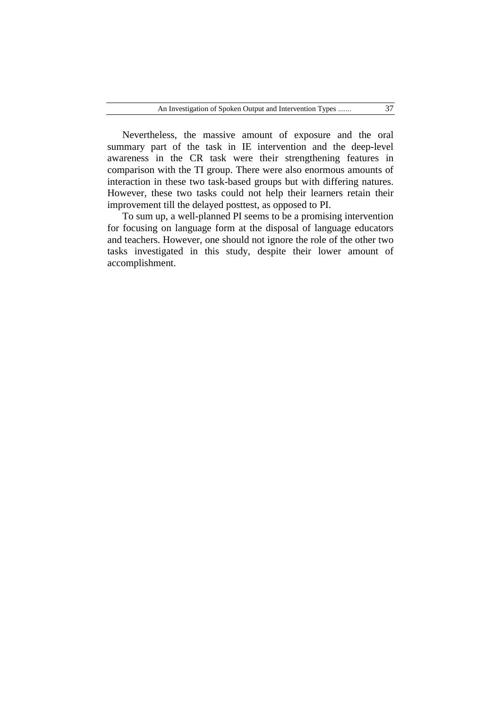Nevertheless, the massive amount of exposure and the oral summary part of the task in IE intervention and the deep-level awareness in the CR task were their strengthening features in comparison with the TI group. There were also enormous amounts of interaction in these two task-based groups but with differing natures. However, these two tasks could not help their learners retain their improvement till the delayed posttest, as opposed to PI.

To sum up, a well-planned PI seems to be a promising intervention for focusing on language form at the disposal of language educators and teachers. However, one should not ignore the role of the other two tasks investigated in this study, despite their lower amount of accomplishment.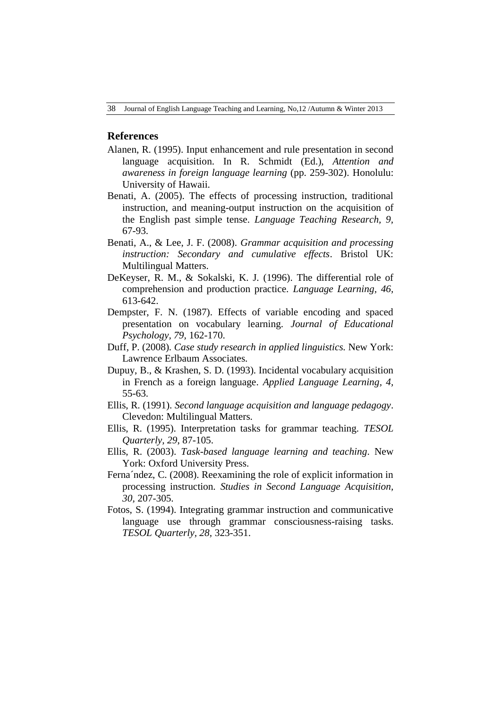# **References**

- Alanen, R. (1995). Input enhancement and rule presentation in second language acquisition. In R. Schmidt (Ed.), *Attention and awareness in foreign language learning* (pp. 259-302). Honolulu: University of Hawaii.
- Benati, A. (2005). The effects of processing instruction, traditional instruction, and meaning-output instruction on the acquisition of the English past simple tense. *Language Teaching Research, 9,* 67-93.
- Benati, A., & Lee, J. F. (2008). *Grammar acquisition and processing instruction: Secondary and cumulative effects*. Bristol UK: Multilingual Matters.
- DeKeyser, R. M., & Sokalski, K. J. (1996). The differential role of comprehension and production practice. *Language Learning, 46,*  613-642.
- Dempster, F. N. (1987). Effects of variable encoding and spaced presentation on vocabulary learning. *Journal of Educational Psychology, 79,* 162-170.
- Duff, P. (2008). *Case study research in applied linguistics.* New York: Lawrence Erlbaum Associates.
- Dupuy, B., & Krashen, S. D. (1993). Incidental vocabulary acquisition in French as a foreign language. *Applied Language Learning, 4,* 55-63.
- Ellis, R. (1991). *Second language acquisition and language pedagogy*. Clevedon: Multilingual Matters.
- Ellis, R. (1995). Interpretation tasks for grammar teaching. *TESOL Quarterly, 29*, 87-105.
- Ellis, R. (2003). *Task-based language learning and teaching*. New York: Oxford University Press.
- Ferna´ndez, C. (2008). Reexamining the role of explicit information in processing instruction. *Studies in Second Language Acquisition, 30,* 207-305.
- Fotos, S. (1994). Integrating grammar instruction and communicative language use through grammar consciousness-raising tasks. *TESOL Quarterly, 28,* 323-351.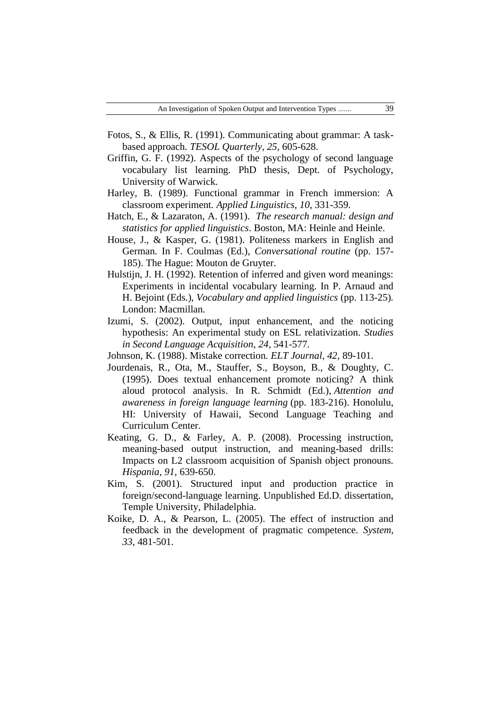- Fotos, S., & Ellis, R. (1991). Communicating about grammar: A taskbased approach. *TESOL Quarterly, 25,* 605-628.
- Griffin, G. F. (1992). Aspects of the psychology of second language vocabulary list learning. PhD thesis, Dept. of Psychology, University of Warwick.
- Harley, B. (1989). Functional grammar in French immersion: A classroom experiment. *Applied Linguistics, 10,* 331-359.
- Hatch, E., & Lazaraton, A. (1991). *The research manual: design and statistics for applied linguistics*. Boston, MA: Heinle and Heinle.
- House, J., & Kasper, G. (1981). Politeness markers in English and German. In F. Coulmas (Ed.), *Conversational routine* (pp. 157- 185). The Hague: Mouton de Gruyter.
- Hulstijn, J. H. (1992). Retention of inferred and given word meanings: Experiments in incidental vocabulary learning. In P. Arnaud and H. Bejoint (Eds.), *Vocabulary and applied linguistics* (pp. 113-25)*.*  London: Macmillan.
- Izumi, S. (2002). Output, input enhancement, and the noticing hypothesis: An experimental study on ESL relativization. *Studies in Second Language Acquisition, 24,* 541-577.
- Johnson, K. (1988). Mistake correction. *ELT Journal, 42,* 89-101.
- Jourdenais, R., Ota, M., Stauffer, S., Boyson, B., & Doughty, C. (1995). Does textual enhancement promote noticing? A think aloud protocol analysis. In R. Schmidt (Ed.), *Attention and awareness in foreign language learning* (pp. 183-216). Honolulu, HI: University of Hawaii, Second Language Teaching and Curriculum Center.
- Keating, G. D., & Farley, A. P. (2008). Processing instruction, meaning-based output instruction, and meaning-based drills: Impacts on L2 classroom acquisition of Spanish object pronouns. *Hispania, 91,* 639-650.
- Kim, S. (2001). Structured input and production practice in foreign/second-language learning. Unpublished Ed.D. dissertation, Temple University, Philadelphia.
- Koike, D. A., & Pearson, L. (2005). The effect of instruction and feedback in the development of pragmatic competence. *System, 33*, 481-501.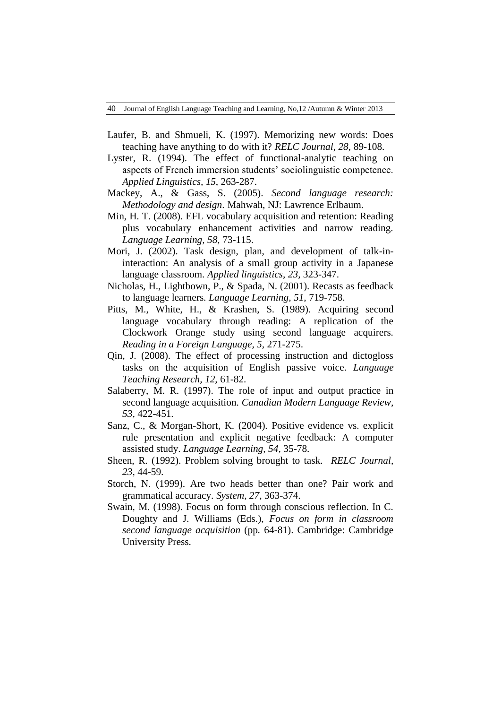- Laufer, B. and Shmueli, K. (1997). Memorizing new words: Does teaching have anything to do with it? *RELC Journal, 28,* 89-108.
- Lyster, R. (1994). The effect of functional-analytic teaching on aspects of French immersion students' sociolinguistic competence. *Applied Linguistics, 15*, 263-287.
- Mackey, A., & Gass, S. (2005). *Second language research: Methodology and design*. Mahwah, NJ: Lawrence Erlbaum.
- Min, H. T. (2008). EFL vocabulary acquisition and retention: Reading plus vocabulary enhancement activities and narrow reading. *Language Learning, 58,* 73-115.
- Mori, J. (2002). Task design, plan, and development of talk-ininteraction: An analysis of a small group activity in a Japanese language classroom. *Applied linguistics, 23,* 323-347.
- Nicholas, H., Lightbown, P., & Spada, N. (2001). Recasts as feedback to language learners. *Language Learning, 51,* 719-758.
- Pitts, M., White, H., & Krashen, S. (1989). Acquiring second language vocabulary through reading: A replication of the Clockwork Orange study using second language acquirers. *Reading in a Foreign Language, 5,* 271-275.
- Qin, J. (2008). The effect of processing instruction and dictogloss tasks on the acquisition of English passive voice. *Language Teaching Research, 12,* 61-82.
- Salaberry, M. R. (1997). The role of input and output practice in second language acquisition*. Canadian Modern Language Review, 53,* 422-451.
- Sanz, C., & Morgan-Short, K. (2004). Positive evidence vs. explicit rule presentation and explicit negative feedback: A computer assisted study. *Language Learning, 54*, 35-78.
- Sheen, R. (1992). Problem solving brought to task. *RELC Journal, 23,* 44-59.
- Storch, N. (1999). Are two heads better than one? Pair work and grammatical accuracy. *System, 27,* 363-374.
- Swain, M. (1998). Focus on form through conscious reflection. In C. Doughty and J. Williams (Eds.), *Focus on form in classroom second language acquisition* (pp. 64-81). Cambridge: Cambridge University Press.